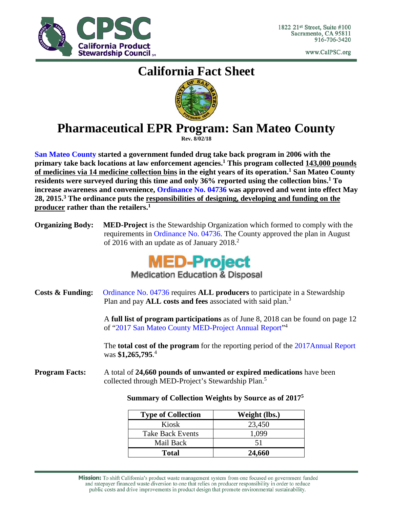

www.CalPSC.org

# **California Fact Sheet**



## **Pharmaceutical EPR Program: San Mateo County**

**Rev. 8/02/18**

**[San Mateo County](https://www.smchealth.org/general-information/safe-medicine-disposal-sites) started a government funded drug take back program in 2006 with the primary take back locations at law enforcement agencies.1 This program collected 143,000 pounds of medicines via 14 medicine collection bins in the eight years of its operation.1 San Mateo County residents were surveyed during this time and only 36% reported using the collection bins.1 To increase awareness and convenience, [Ordinance](https://www.smchealth.org/sites/main/files/file-attachments/bos_final_med_ordinance_04736.pdf) No. 04736 was approved and went into effect May 28, 2015. <sup>3</sup> The ordinance puts the responsibilities of designing, developing and funding on the producer rather than the retailers. 1**

**Organizing Body: MED-Project** is the Stewardship Organization which formed to comply with the requirements in Ordinance [No. 04736.](https://www.smchealth.org/sites/main/files/file-attachments/bos_final_med_ordinance_04736.pdf) The County approved the plan in August of 2016 with an update as of January  $2018<sup>2</sup>$ 



**Medication Education & Disposal** 

**Costs & Funding:** [Ordinance No. 04736](https://www.smchealth.org/sites/main/files/file-attachments/bos_final_med_ordinance_04736.pdf) requires **ALL producers** to participate in a Stewardship Plan and pay **ALL** costs and fees associated with said plan.<sup>3</sup>

> A **full list of program participations** as of June 8, 2018 can be found on page 12 of ["2017 San Mateo County MED-Project Annual Report"](https://www.smchealth.org/sites/main/files/file-attachments/30_-_med-project_san_mateo_county_2017_annual_report_06.12.2018.pdf)4

> The **total cost of the program** for the reporting period of the [2017Annual Report](https://www.smchealth.org/sites/main/files/file-attachments/30_-_med-project_san_mateo_county_2017_annual_report_06.12.2018.pdf) was **\$1,265,795**. 4

**Program Facts:** A total of **24,660 pounds of unwanted or expired medications** have been collected through MED-Project's Stewardship Plan.<sup>5</sup>

### **Summary of Collection Weights by Source as of 20175**

| <b>Type of Collection</b> | Weight (lbs.) |
|---------------------------|---------------|
| Kiosk                     | 23,450        |
| <b>Take Back Events</b>   | 1,099         |
| Mail Back                 | 51            |
| <b>Total</b>              | 24,660        |